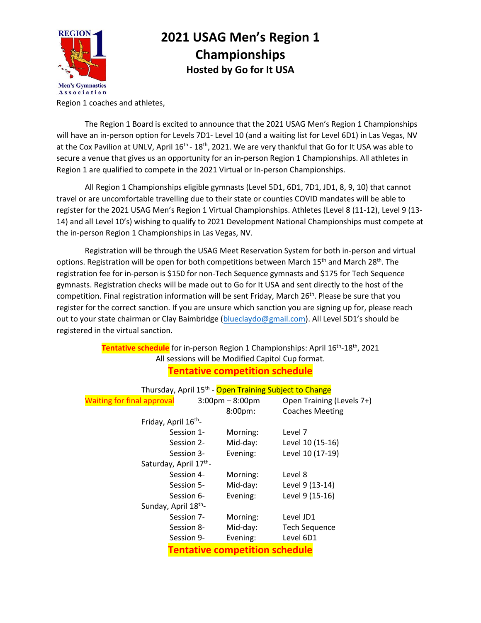

## **2021 USAG Men's Region 1 Championships Hosted by Go for It USA**

Region 1 coaches and athletes,

The Region 1 Board is excited to announce that the 2021 USAG Men's Region 1 Championships will have an in-person option for Levels 7D1- Level 10 (and a waiting list for Level 6D1) in Las Vegas, NV at the Cox Pavilion at UNLV, April 16<sup>th</sup> - 18<sup>th</sup>, 2021. We are very thankful that Go for It USA was able to secure a venue that gives us an opportunity for an in-person Region 1 Championships. All athletes in Region 1 are qualified to compete in the 2021 Virtual or In-person Championships.

All Region 1 Championships eligible gymnasts (Level 5D1, 6D1, 7D1, JD1, 8, 9, 10) that cannot travel or are uncomfortable travelling due to their state or counties COVID mandates will be able to register for the 2021 USAG Men's Region 1 Virtual Championships. Athletes (Level 8 (11-12), Level 9 (13- 14) and all Level 10's) wishing to qualify to 2021 Development National Championships must compete at the in-person Region 1 Championships in Las Vegas, NV.

Registration will be through the USAG Meet Reservation System for both in-person and virtual options. Registration will be open for both competitions between March 15<sup>th</sup> and March 28<sup>th</sup>. The registration fee for in-person is \$150 for non-Tech Sequence gymnasts and \$175 for Tech Sequence gymnasts. Registration checks will be made out to Go for It USA and sent directly to the host of the competition. Final registration information will be sent Friday, March 26<sup>th</sup>. Please be sure that you register for the correct sanction. If you are unsure which sanction you are signing up for, please reach out to your state chairman or Clay Baimbridge [\(blueclaydo@gmail.com](mailto:blueclaydo@gmail.com)). All Level 5D1's should be registered in the virtual sanction.

## **Tentative schedule** for in-person Region 1 Championships: April 16 th -18th, 2021 All sessions will be Modified Capitol Cup format. **Tentative competition schedule**

| Thursday, April 15 <sup>th</sup> - Open Training Subject to Change |                                  |                                   |                           |
|--------------------------------------------------------------------|----------------------------------|-----------------------------------|---------------------------|
| <b>Waiting for final approval</b>                                  |                                  | $3:00 \text{pm} - 8:00 \text{pm}$ | Open Training (Levels 7+) |
|                                                                    |                                  | 8:00pm:                           | <b>Coaches Meeting</b>    |
| Friday, April 16 <sup>th</sup> -                                   |                                  |                                   |                           |
|                                                                    | Session 1-                       | Morning:                          | Level 7                   |
|                                                                    | Session 2-                       | Mid-day:                          | Level 10 (15-16)          |
|                                                                    | Session 3-                       | Evening:                          | Level 10 (17-19)          |
| Saturday, April 17th-                                              |                                  |                                   |                           |
|                                                                    | Session 4-                       | Morning:                          | Level 8                   |
|                                                                    | Session 5-                       | Mid-day:                          | Level 9 (13-14)           |
|                                                                    | Session 6-                       | Evening:                          | Level 9 (15-16)           |
|                                                                    | Sunday, April 18 <sup>th</sup> - |                                   |                           |
|                                                                    | Session 7-                       | Morning:                          | Level JD1                 |
|                                                                    | Session 8-                       | Mid-day:                          | <b>Tech Sequence</b>      |
|                                                                    | Session 9-                       | Evening:                          | Level 6D1                 |
| <b>Tentative competition schedule</b>                              |                                  |                                   |                           |